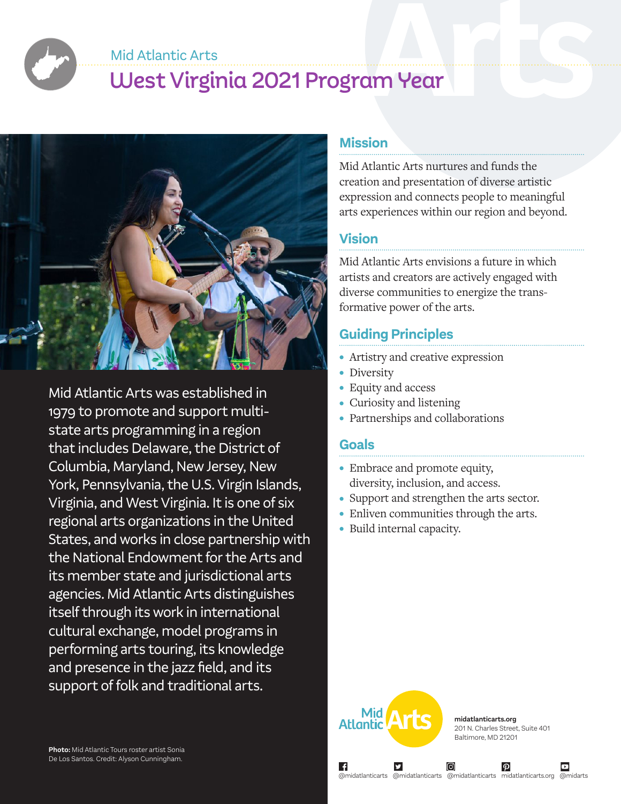Mid Atlantic Arts

# West Virginia 2021 Program Year



Mid Atlantic Arts was established in 1979 to promote and support multistate arts programming in a region that includes Delaware, the District of Columbia, Maryland, New Jersey, New York, Pennsylvania, the U.S. Virgin Islands, Virginia, and West Virginia. It is one of six regional arts organizations in the United States, and works in close partnership with the National Endowment for the Arts and its member state and jurisdictional arts agencies. Mid Atlantic Arts distinguishes itself through its work in international cultural exchange, model programs in performing arts touring, its knowledge and presence in the jazz field, and its support of folk and traditional arts.

### **Mission**

Mid Atlantic Arts nurtures and funds the creation and presentation of diverse artistic expression and connects people to meaningful arts experiences within our region and beyond.

# **Vision**

Mid Atlantic Arts envisions a future in which artists and creators are actively engaged with diverse communities to energize the transformative power of the arts.

# **Guiding Principles**

- Artistry and creative expression
- Diversity
- Equity and access
- Curiosity and listening
- Partnerships and collaborations

## **Goals**

- Embrace and promote equity, diversity, inclusion, and access.
- Support and strengthen the arts sector.
- Enliven communities through the arts.
- Build internal capacity.



∣ f

**midatlanticarts.org** 201 N. Charles Street, Suite 401 Baltimore, MD 21201

 $\boldsymbol{\varphi}$ 

@midatlanticarts @midatlanticarts @midatlanticarts midatlanticarts.org @midarts

ල)